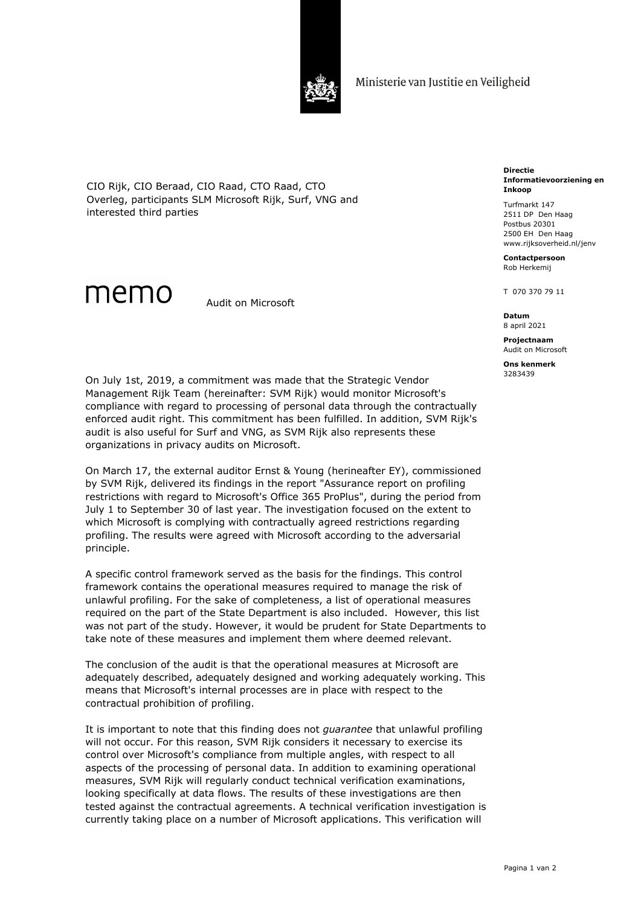

Ministerie van Justitie en Veiligheid

CIO Rijk, CIO Beraad, CIO Raad, CTO Raad, CTO Overleg, participants SLM Microsoft Rijk, Surf, VNG and interested third parties

## memo

Audit on Microsoft

**Directie Informatievoorziening en Inkoop**

Turfmarkt 147 2511 DP Den Haag Postbus 20301 2500 EH Den Haag www.rijksoverheid.nl/jenv

**Contactpersoon** Rob Herkemij

T 070 370 79 11

**Datum** 8 april 2021

**Projectnaam** Audit on Microsoft **Ons kenmerk**

3283439

On July 1st, 2019, a commitment was made that the Strategic Vendor Management Rijk Team (hereinafter: SVM Rijk) would monitor Microsoft's compliance with regard to processing of personal data through the contractually enforced audit right. This commitment has been fulfilled. In addition, SVM Rijk's audit is also useful for Surf and VNG, as SVM Rijk also represents these organizations in privacy audits on Microsoft.

On March 17, the external auditor Ernst & Young (herineafter EY), commissioned by SVM Rijk, delivered its findings in the report "Assurance report on profiling restrictions with regard to Microsoft's Office 365 ProPlus", during the period from July 1 to September 30 of last year. The investigation focused on the extent to which Microsoft is complying with contractually agreed restrictions regarding profiling. The results were agreed with Microsoft according to the adversarial principle.

A specific control framework served as the basis for the findings. This control framework contains the operational measures required to manage the risk of unlawful profiling. For the sake of completeness, a list of operational measures required on the part of the State Department is also included. However, this list was not part of the study. However, it would be prudent for State Departments to take note of these measures and implement them where deemed relevant.

The conclusion of the audit is that the operational measures at Microsoft are adequately described, adequately designed and working adequately working. This means that Microsoft's internal processes are in place with respect to the contractual prohibition of profiling.

It is important to note that this finding does not *guarantee* that unlawful profiling will not occur. For this reason, SVM Rijk considers it necessary to exercise its control over Microsoft's compliance from multiple angles, with respect to all aspects of the processing of personal data. In addition to examining operational measures, SVM Rijk will regularly conduct technical verification examinations, looking specifically at data flows. The results of these investigations are then tested against the contractual agreements. A technical verification investigation is currently taking place on a number of Microsoft applications. This verification will